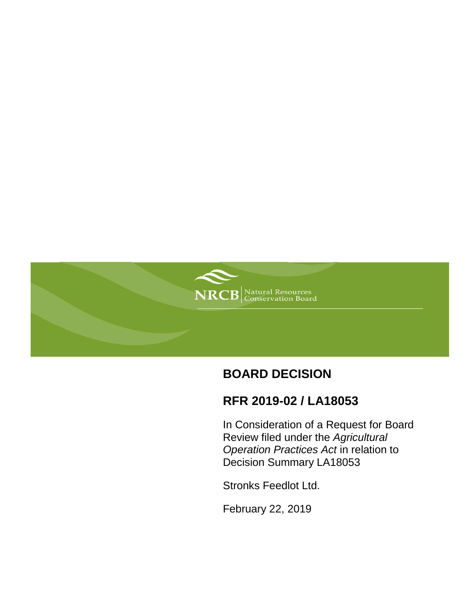

# **BOARD DECISION**

# **RFR 2019-02 / LA18053**

In Consideration of a Request for Board Review filed under the *Agricultural Operation Practices Act* in relation to Decision Summary LA18053

Stronks Feedlot Ltd.

February 22, 2019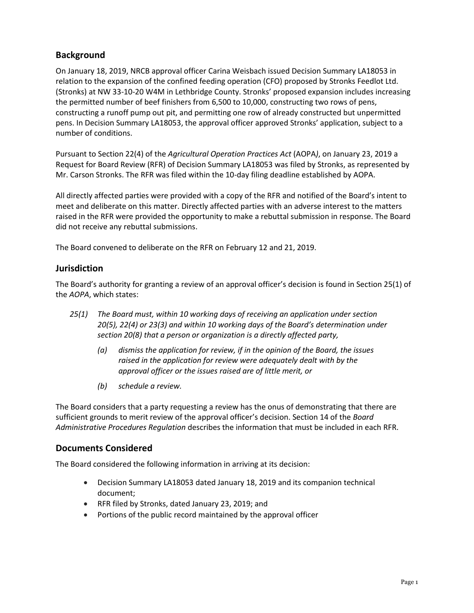# **Background**

On January 18, 2019, NRCB approval officer Carina Weisbach issued Decision Summary LA18053 in relation to the expansion of the confined feeding operation (CFO) proposed by Stronks Feedlot Ltd. (Stronks) at NW 33-10-20 W4M in Lethbridge County. Stronks' proposed expansion includes increasing the permitted number of beef finishers from 6,500 to 10,000, constructing two rows of pens, constructing a runoff pump out pit, and permitting one row of already constructed but unpermitted pens. In Decision Summary LA18053, the approval officer approved Stronks' application, subject to a number of conditions.

Pursuant to Section 22(4) of the *Agricultural Operation Practices Act* (AOPA*)*, on January 23, 2019 a Request for Board Review (RFR) of Decision Summary LA18053 was filed by Stronks, as represented by Mr. Carson Stronks. The RFR was filed within the 10-day filing deadline established by AOPA.

All directly affected parties were provided with a copy of the RFR and notified of the Board's intent to meet and deliberate on this matter. Directly affected parties with an adverse interest to the matters raised in the RFR were provided the opportunity to make a rebuttal submission in response. The Board did not receive any rebuttal submissions.

The Board convened to deliberate on the RFR on February 12 and 21, 2019.

## **Jurisdiction**

The Board's authority for granting a review of an approval officer's decision is found in Section 25(1) of the *AOPA*, which states:

- *25(1) The Board must, within 10 working days of receiving an application under section 20(5), 22(4) or 23(3) and within 10 working days of the Board's determination under section 20(8) that a person or organization is a directly affected party,*
	- *(a) dismiss the application for review, if in the opinion of the Board, the issues raised in the application for review were adequately dealt with by the approval officer or the issues raised are of little merit, or*
	- *(b) schedule a review.*

The Board considers that a party requesting a review has the onus of demonstrating that there are sufficient grounds to merit review of the approval officer's decision. Section 14 of the *Board Administrative Procedures Regulation* describes the information that must be included in each RFR.

## **Documents Considered**

The Board considered the following information in arriving at its decision:

- Decision Summary LA18053 dated January 18, 2019 and its companion technical document;
- RFR filed by Stronks, dated January 23, 2019; and
- Portions of the public record maintained by the approval officer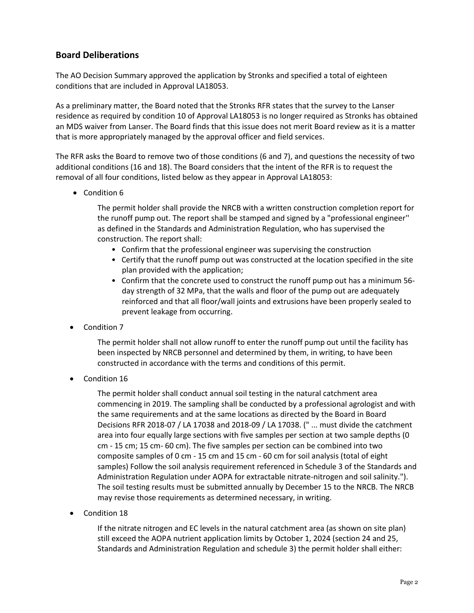## **Board Deliberations**

The AO Decision Summary approved the application by Stronks and specified a total of eighteen conditions that are included in Approval LA18053.

As a preliminary matter, the Board noted that the Stronks RFR states that the survey to the Lanser residence as required by condition 10 of Approval LA18053 is no longer required as Stronks has obtained an MDS waiver from Lanser. The Board finds that this issue does not merit Board review as it is a matter that is more appropriately managed by the approval officer and field services.

The RFR asks the Board to remove two of those conditions (6 and 7), and questions the necessity of two additional conditions (16 and 18). The Board considers that the intent of the RFR is to request the removal of all four conditions, listed below as they appear in Approval LA18053:

• Condition 6

The permit holder shall provide the NRCB with a written construction completion report for the runoff pump out. The report shall be stamped and signed by a "professional engineer'' as defined in the Standards and Administration Regulation, who has supervised the construction. The report shall:

- Confirm that the professional engineer was supervising the construction
- Certify that the runoff pump out was constructed at the location specified in the site plan provided with the application;
- Confirm that the concrete used to construct the runoff pump out has a minimum 56 day strength of 32 MPa, that the walls and floor of the pump out are adequately reinforced and that all floor/wall joints and extrusions have been properly sealed to prevent leakage from occurring.
- Condition 7

The permit holder shall not allow runoff to enter the runoff pump out until the facility has been inspected by NRCB personnel and determined by them, in writing, to have been constructed in accordance with the terms and conditions of this permit.

Condition 16

The permit holder shall conduct annual soil testing in the natural catchment area commencing in 2019. The sampling shall be conducted by a professional agrologist and with the same requirements and at the same locations as directed by the Board in Board Decisions RFR 2018-07 / LA 17038 and 2018-09 / LA 17038. (" ... must divide the catchment area into four equally large sections with five samples per section at two sample depths (0 cm - 15 cm; 15 cm- 60 cm). The five samples per section can be combined into two composite samples of 0 cm - 15 cm and 15 cm - 60 cm for soil analysis (total of eight samples) Follow the soil analysis requirement referenced in Schedule 3 of the Standards and Administration Regulation under AOPA for extractable nitrate-nitrogen and soil salinity."). The soil testing results must be submitted annually by December 15 to the NRCB. The NRCB may revise those requirements as determined necessary, in writing.

Condition 18

If the nitrate nitrogen and EC levels in the natural catchment area (as shown on site plan) still exceed the AOPA nutrient application limits by October 1, 2024 (section 24 and 25, Standards and Administration Regulation and schedule 3) the permit holder shall either: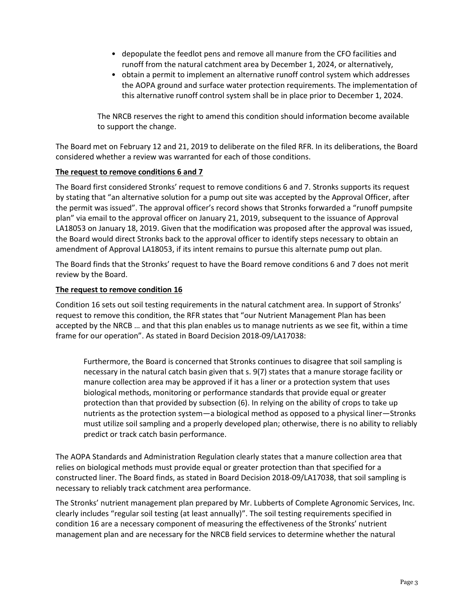- depopulate the feedlot pens and remove all manure from the CFO facilities and runoff from the natural catchment area by December 1, 2024, or alternatively,
- obtain a permit to implement an alternative runoff control system which addresses the AOPA ground and surface water protection requirements. The implementation of this alternative runoff control system shall be in place prior to December 1, 2024.

The NRCB reserves the right to amend this condition should information become available to support the change.

The Board met on February 12 and 21, 2019 to deliberate on the filed RFR. In its deliberations, the Board considered whether a review was warranted for each of those conditions.

### **The request to remove conditions 6 and 7**

The Board first considered Stronks' request to remove conditions 6 and 7. Stronks supports its request by stating that "an alternative solution for a pump out site was accepted by the Approval Officer, after the permit was issued". The approval officer's record shows that Stronks forwarded a "runoff pumpsite plan" via email to the approval officer on January 21, 2019, subsequent to the issuance of Approval LA18053 on January 18, 2019. Given that the modification was proposed after the approval was issued, the Board would direct Stronks back to the approval officer to identify steps necessary to obtain an amendment of Approval LA18053, if its intent remains to pursue this alternate pump out plan.

The Board finds that the Stronks' request to have the Board remove conditions 6 and 7 does not merit review by the Board.

#### **The request to remove condition 16**

Condition 16 sets out soil testing requirements in the natural catchment area. In support of Stronks' request to remove this condition, the RFR states that "our Nutrient Management Plan has been accepted by the NRCB … and that this plan enables us to manage nutrients as we see fit, within a time frame for our operation". As stated in Board Decision 2018-09/LA17038:

Furthermore, the Board is concerned that Stronks continues to disagree that soil sampling is necessary in the natural catch basin given that s. 9(7) states that a manure storage facility or manure collection area may be approved if it has a liner or a protection system that uses biological methods, monitoring or performance standards that provide equal or greater protection than that provided by subsection (6). In relying on the ability of crops to take up nutrients as the protection system—a biological method as opposed to a physical liner—Stronks must utilize soil sampling and a properly developed plan; otherwise, there is no ability to reliably predict or track catch basin performance.

The AOPA Standards and Administration Regulation clearly states that a manure collection area that relies on biological methods must provide equal or greater protection than that specified for a constructed liner. The Board finds, as stated in Board Decision 2018-09/LA17038, that soil sampling is necessary to reliably track catchment area performance.

The Stronks' nutrient management plan prepared by Mr. Lubberts of Complete Agronomic Services, Inc. clearly includes "regular soil testing (at least annually)". The soil testing requirements specified in condition 16 are a necessary component of measuring the effectiveness of the Stronks' nutrient management plan and are necessary for the NRCB field services to determine whether the natural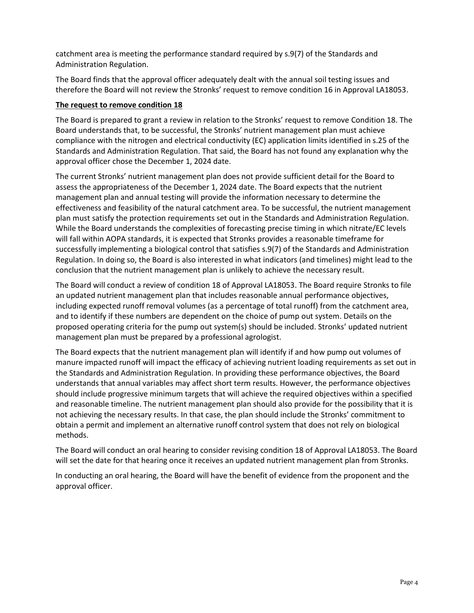catchment area is meeting the performance standard required by s.9(7) of the Standards and Administration Regulation.

The Board finds that the approval officer adequately dealt with the annual soil testing issues and therefore the Board will not review the Stronks' request to remove condition 16 in Approval LA18053.

#### **The request to remove condition 18**

The Board is prepared to grant a review in relation to the Stronks' request to remove Condition 18. The Board understands that, to be successful, the Stronks' nutrient management plan must achieve compliance with the nitrogen and electrical conductivity (EC) application limits identified in s.25 of the Standards and Administration Regulation. That said, the Board has not found any explanation why the approval officer chose the December 1, 2024 date.

The current Stronks' nutrient management plan does not provide sufficient detail for the Board to assess the appropriateness of the December 1, 2024 date. The Board expects that the nutrient management plan and annual testing will provide the information necessary to determine the effectiveness and feasibility of the natural catchment area. To be successful, the nutrient management plan must satisfy the protection requirements set out in the Standards and Administration Regulation. While the Board understands the complexities of forecasting precise timing in which nitrate/EC levels will fall within AOPA standards, it is expected that Stronks provides a reasonable timeframe for successfully implementing a biological control that satisfies s.9(7) of the Standards and Administration Regulation. In doing so, the Board is also interested in what indicators (and timelines) might lead to the conclusion that the nutrient management plan is unlikely to achieve the necessary result.

The Board will conduct a review of condition 18 of Approval LA18053. The Board require Stronks to file an updated nutrient management plan that includes reasonable annual performance objectives, including expected runoff removal volumes (as a percentage of total runoff) from the catchment area, and to identify if these numbers are dependent on the choice of pump out system. Details on the proposed operating criteria for the pump out system(s) should be included. Stronks' updated nutrient management plan must be prepared by a professional agrologist.

The Board expects that the nutrient management plan will identify if and how pump out volumes of manure impacted runoff will impact the efficacy of achieving nutrient loading requirements as set out in the Standards and Administration Regulation. In providing these performance objectives, the Board understands that annual variables may affect short term results. However, the performance objectives should include progressive minimum targets that will achieve the required objectives within a specified and reasonable timeline. The nutrient management plan should also provide for the possibility that it is not achieving the necessary results. In that case, the plan should include the Stronks' commitment to obtain a permit and implement an alternative runoff control system that does not rely on biological methods.

The Board will conduct an oral hearing to consider revising condition 18 of Approval LA18053. The Board will set the date for that hearing once it receives an updated nutrient management plan from Stronks.

In conducting an oral hearing, the Board will have the benefit of evidence from the proponent and the approval officer.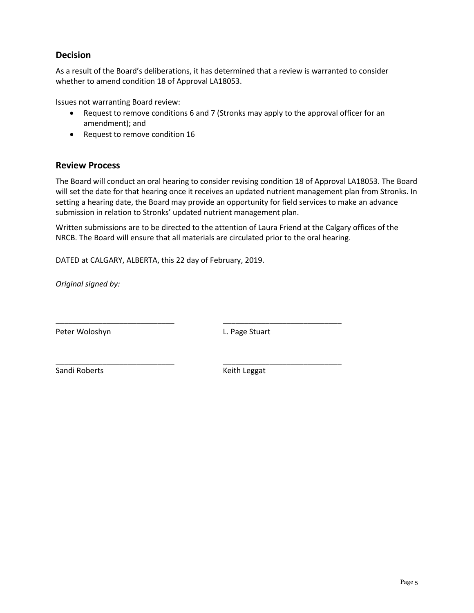# **Decision**

As a result of the Board's deliberations, it has determined that a review is warranted to consider whether to amend condition 18 of Approval LA18053.

Issues not warranting Board review:

- Request to remove conditions 6 and 7 (Stronks may apply to the approval officer for an amendment); and
- Request to remove condition 16

### **Review Process**

The Board will conduct an oral hearing to consider revising condition 18 of Approval LA18053. The Board will set the date for that hearing once it receives an updated nutrient management plan from Stronks. In setting a hearing date, the Board may provide an opportunity for field services to make an advance submission in relation to Stronks' updated nutrient management plan.

Written submissions are to be directed to the attention of Laura Friend at the Calgary offices of the NRCB. The Board will ensure that all materials are circulated prior to the oral hearing.

\_\_\_\_\_\_\_\_\_\_\_\_\_\_\_\_\_\_\_\_\_\_\_\_\_\_\_\_ \_\_\_\_\_\_\_\_\_\_\_\_\_\_\_\_\_\_\_\_\_\_\_\_\_\_\_\_

\_\_\_\_\_\_\_\_\_\_\_\_\_\_\_\_\_\_\_\_\_\_\_\_\_\_\_\_ \_\_\_\_\_\_\_\_\_\_\_\_\_\_\_\_\_\_\_\_\_\_\_\_\_\_\_\_

DATED at CALGARY, ALBERTA, this 22 day of February, 2019.

*Original signed by:*

Peter Woloshyn **L. Page Stuart** 

Sandi Roberts **Keith Leggat** Keith Leggat